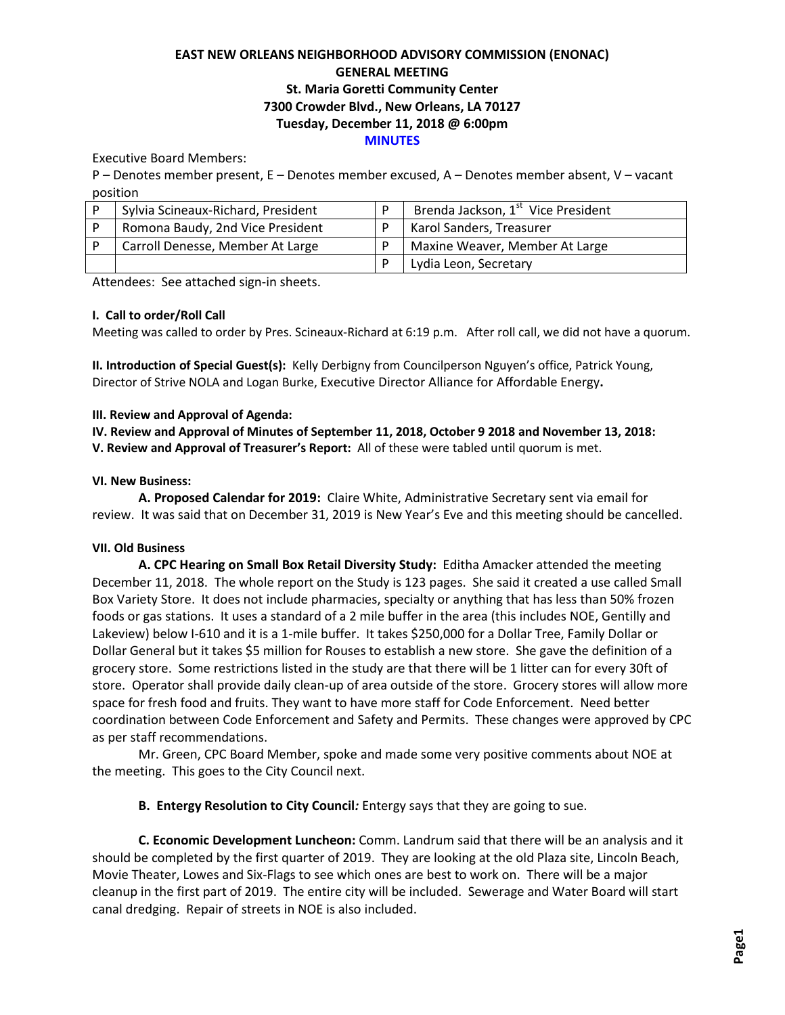## **EAST NEW ORLEANS NEIGHBORHOOD ADVISORY COMMISSION (ENONAC) GENERAL MEETING St. Maria Goretti Community Center 7300 Crowder Blvd., New Orleans, LA 70127 Tuesday, December 11, 2018 @ 6:00pm MINUTES**

Executive Board Members:

P – Denotes member present, E – Denotes member excused, A – Denotes member absent, V – vacant position

| Sylvia Scineaux-Richard, President | Brenda Jackson, 1 <sup>st</sup> Vice President |
|------------------------------------|------------------------------------------------|
| Romona Baudy, 2nd Vice President   | Karol Sanders, Treasurer                       |
| Carroll Denesse, Member At Large   | Maxine Weaver, Member At Large                 |
|                                    | Lydia Leon, Secretary                          |

Attendees: See attached sign-in sheets.

### **I. Call to order/Roll Call**

Meeting was called to order by Pres. Scineaux-Richard at 6:19 p.m. After roll call, we did not have a quorum.

**II. Introduction of Special Guest(s):** Kelly Derbigny from Councilperson Nguyen's office, Patrick Young, Director of Strive NOLA and Logan Burke, Executive Director Alliance for Affordable Energy**.**

### **III. Review and Approval of Agenda:**

**IV. Review and Approval of Minutes of September 11, 2018, October 9 2018 and November 13, 2018: V. Review and Approval of Treasurer's Report:** All of these were tabled until quorum is met.

#### **VI. New Business:**

**A. Proposed Calendar for 2019:** Claire White, Administrative Secretary sent via email for review. It was said that on December 31, 2019 is New Year's Eve and this meeting should be cancelled.

### **VII. Old Business**

**A. CPC Hearing on Small Box Retail Diversity Study:** Editha Amacker attended the meeting December 11, 2018. The whole report on the Study is 123 pages. She said it created a use called Small Box Variety Store. It does not include pharmacies, specialty or anything that has less than 50% frozen foods or gas stations. It uses a standard of a 2 mile buffer in the area (this includes NOE, Gentilly and Lakeview) below I-610 and it is a 1-mile buffer. It takes \$250,000 for a Dollar Tree, Family Dollar or Dollar General but it takes \$5 million for Rouses to establish a new store. She gave the definition of a grocery store. Some restrictions listed in the study are that there will be 1 litter can for every 30ft of store. Operator shall provide daily clean-up of area outside of the store. Grocery stores will allow more space for fresh food and fruits. They want to have more staff for Code Enforcement. Need better coordination between Code Enforcement and Safety and Permits. These changes were approved by CPC as per staff recommendations.

Mr. Green, CPC Board Member, spoke and made some very positive comments about NOE at the meeting. This goes to the City Council next.

### **B. Entergy Resolution to City Council***:* Entergy says that they are going to sue.

**C. Economic Development Luncheon:** Comm. Landrum said that there will be an analysis and it should be completed by the first quarter of 2019. They are looking at the old Plaza site, Lincoln Beach, Movie Theater, Lowes and Six-Flags to see which ones are best to work on. There will be a major cleanup in the first part of 2019. The entire city will be included. Sewerage and Water Board will start canal dredging. Repair of streets in NOE is also included.